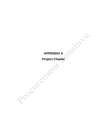# **APPENDIX A**

**Project Charter**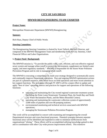# **CITY OF SAN DIEGO**

# **MWWD REENGINEERING TEAM CHARTER**

#### **Project Name:**

Metropolitan Wastewater Department (MWWD) Reengineering

#### **Sponsor:**

Rich Haas, Deputy Chief of Public Works

#### **Steering Committee:**

The Reengineering Steering Committee is chaired by Scott Tulloch, MWWD Director, and composed of the MWWD Management Team and membership from the City Attorney, Chief Financial Officer and Labor Organizations.

#### **1. Project Need / Background:**

The MWWD mission is, "To provide the public with a safe, efficient, and cost-effective regional sewer system and manage urban runoff to protect the environment, supplement our limited water supply, and meet regulatory standards." MWWD is responsible for the Storm Water Pollution Prevention Program and its role in managing urban runoff.

The MWWD is executing a comprehensive, multi-year strategy designed to systematically assess and continually improve Department operations. Past and ongoing MWWD optimization actions are part of a planned sequence, with initial focus on field operations and more recent attention to key support functions. The next phase (through FY 2007) will be a major effort to update and apply "best of class" operating metrics and practices for support and operations of the following functions:

- operating and maintaining the City-owned regional wastewater treatment system (including the Point Loma Wastewater Treatment Plant, the South Bay and North City Water Reclamation Plants, and the Metro Biosolids Center);
	- operating and maintaining the wastewater collection system of approximately 3,000 miles of pipeline and over 80 pumping stations;
- environmental monitoring and technical services associated with MWWD operations;
- managing the Stormwater Pollution Prevention Program.

This work will be accomplished in concert with examining and reengineering the overall Departmental structure and cross-functional processes. Potential synergies between separate functional areas will be identified and exploited in order to minimize inefficiencies from organizational "siloing." These efforts will be accomplished utilizing knowledge gained to date and in coordination with other City-wide process improvement efforts. This extensive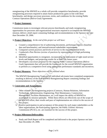reengineering of the MWWD as a whole will provide competitive benchmarks; provide reengineering processes required to attain future productivity gains in line with these benchmarks; and design successor processes, terms, and conditions for the existing Public Contract Operations (Bid-to-Goal) Agreements.

### **2. Project Statement:**

Commission teams to investigate relevant process benchmarks and study reengineering opportunities for processes and organizational structures required to accomplish the MWWD mission; deliver a draft report containing findings and recommendations to the Sponsor not later than December 29, 2006.

#### **3. Project Objectives:** *At the end of this project we will have:*

- a. Created a comprehensive list of authorizing documents, performance metrics (baseline data and benchmarks), and internal/external stakeholder requirements.
- b. Compared current practices and levels of service to the required/desired levels.
- c. Conducted a Peer Review (review of practices by representatives of high performing utilities).
- d. Identified opportunities to reengineer, incorporating the assessment of right sized service levels and budgets, and projecting results for at least five future years.
- e. Developed a successor proposal for the ongoing Public Contract Operations (Bid-to-Goal) Agreements that will provide the framework for the overall MWWD organization to perform at a competitive level using appropriate performance standards and incentives.

## **4. Project Measures:** *These objectives will be realized when:*

The MWWD Reengineering Team and all individual sub-teams have completed assignments resulting in delivery of the draft MWWD Reengineering Report containing findings and recommendations to the Sponsor.

## **5. Constraints and Assumptions:**

- a. Other related City reengineering projects (Contracts, Human Relations, Information Technology, Administration, Engineering, Fleet Maintenance, Construction Management, Facilities Maintenance, etc.) will impact the ability of MWWD to accomplish its mission optimally. While these efforts are effectively out of the scope of the MWWD effort, their results and pace of implementation are critical to the success of this project.
- b. Positive participation in and acceptance of this project by such major stakeholders as the labor organizations, the Participating Agencies, the Public Utilities Advisory Commission (PUAC), etc. are essential for the success of this project.

#### **6. Project Milestones/Deliverables:**

a. Study and Draft Report will be completed and delivered to the project Sponsor not later than December 29, 2006.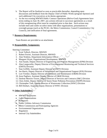- b. The Report will be finalized as soon as practicable thereafter, depending upon discussions and feedback from the Deputy Chief of Public Works (program Sponsor) and such additional City executives as he deems appropriate.
- c. As the two existing MWWD Public Contract Operations (Bid-to-Goal) Agreements have terms ending on June 30, 2007, any actions relevant to successor agreements as a result of this reengineering effort must be completed prior to that date. Such actions may include meet and confer on select items with labor organizations, presentations to oversight groups (such as the PUAC, the Metro Commission, Council Committee(s), City Council), and ratification of final agreements.

#### **7. Resource Requirements:**

Team Rosters are provided as an attachment.

#### **8. Responsibility Assignments:**

Steering Committee:

- 1. Scott Tulloch, Director, MWWD
- 2. Robert Ferrier, Assistant Director, MWWD
- 3. Alan Watkins, Department Information Officer
- 4. Margaret Wyatt, Organizational Development, MWWD
- 5. Ann Sasaki, Deputy Director of Engineering and Program Management (EPM) Division
- 6. Alan Langworthy, Deputy Director of Environmental Monitoring and Technical Services (EMTS) Division
- 7. Stan Griffith, Assistant Deputy Director of EMTS Division
- 8. Joe Harris, Deputy Director of Information and Organizational Support (IOS) Division
- 9. Lori Vereker, Deputy Director of Operations and Maintenance (O&M) Division
- 10. Jesse Pagliaro, Assistant Deputy Director of O&M Division
- 11. Darlene Morrow-Truver, Deputy Director of Services and Contracts (S&C) Division
- 12. Chris Zirkle, Deputy Director of Storm Water Pollution Prevention (SWPP) Division
- 13. Christopher Toth, Deputy Director of Wastewater Collection (WWC) Division
- 14. Bill Denhart, Assistant Deputy Director of WWC Division

#### **9. Other Stakeholders:**

- MWWD Employees
- Labor Organizations
- Ratepayers
- Public Utilities Advisory Commission
- Metro Commission and Participating Agencies
- Environmental Organizations
- Regulators
- Internal City Stakeholders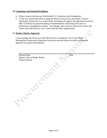#### **10. Limitations and Potential Problems:**

- Project scope exclusions are listed under #5, Constraints and Assumptions.
- As the first nationwide effort to adapt the Bid-to-Goal process and Public Contract Agreement framework to an entire utility (including all support and operating functions) there will likely be ground breaking recommendations concerning such areas as performance management systems. Accordingly, there may be some level of meet and confer and ratification by City Council and the labor organizations.

#### **11. Project Charter Approval:**

I acknowledge that the process described herein to reengineer City of San Diego Metropolitan Wastewater Department processes and procedures provides a reasonable approach for project development.

Richard Haas Date Date Deputy Chief of Public Works Project Sponsor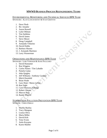# **MWWD BUSINESS PROCESS REENGINEERING TEAMS**

#### SPONSORS: ALAN LANGWORTHY & STAN GRIFFITH ENVIRONMENTAL MONITORING AND TECHNICAL SERVICES BPR TEAM

- 1. Dave Flesh
- 2. Ric Amador
- 3. Aaron Russell
- 4. Laila Othman
- 5. Tim Stebbins
- 6. David James
- 7. Steve Meyer
- 8. Doug Campbell
- 9. Armando Villarino
- 10. David Dobbs
- 11. Barbara Sharatz
- 12. J. Armando Martinez
- 13. Larry Wasserman

## OPERATIONS AND MAINTENANCE BPR TEAM

SPONSORS: LORI VEREKER & JESSE PAGLIARO

- 1. David Huntamer
- 2. Ron Wiggins
- 3. Carlos Nunez / Tim Labadie
- 4. Pamela Galan
- 5. John Quigley
- 6. Jeff Williams / Anthony Gardner
- 7. Mitch Dornfeld
- 8. Brian Wade
- 9. Gary Hiatt / Maria LeSire
- 10. Ron Sight
- 11. Carol Manson-Aldridge
- 12. Robert Abeyta
- 13. Marcos Ruiz
- 14. Randy Weaver

## STORMWATER POLLUTION PREVENTION BPR TEAM SPONSOR: CHRIS ZIRKLE

- 1. Martha Buelna
- 2. Tracy Mangum
- 3. Louisa Oliva
- 4. Maria Miller
- 5. David Kirk
- 6. Tony Evans
- 7. Anita Koyama
- 8. Karen Maillet